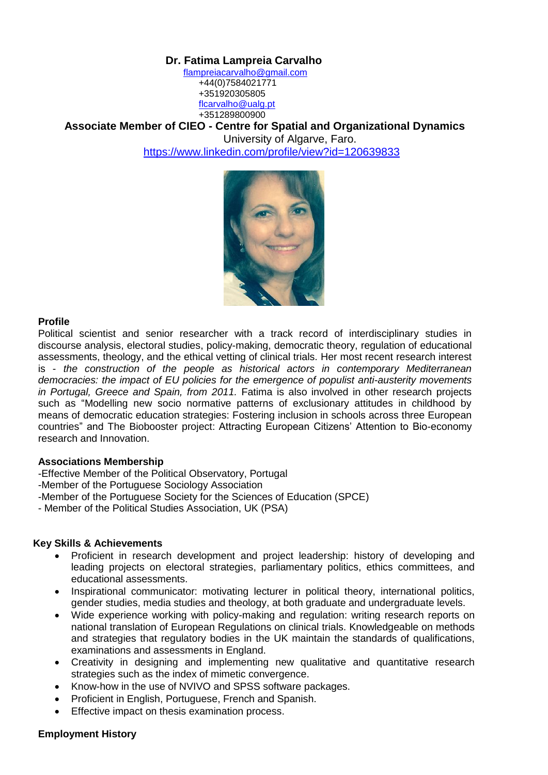# **Dr. Fatima Lampreia Carvalho**

 [flampreiacarvalho@gmail.com](mailto:flampreiacarvalho@gmail.com) +44(0)7584021771 +351920305805 [flcarvalho@ualg.pt](mailto:flcarvalho@ualg.pt) +351289800900

**Associate Member of CIEO - Centre for Spatial and Organizational Dynamics** 

University of Algarve, Faro.

<https://www.linkedin.com/profile/view?id=120639833>



# **Profile**

Political scientist and senior researcher with a track record of interdisciplinary studies in discourse analysis, electoral studies, policy-making, democratic theory, regulation of educational assessments, theology, and the ethical vetting of clinical trials. Her most recent research interest is - *the construction of the people as historical actors in contemporary Mediterranean democracies: the impact of EU policies for the emergence of populist anti-austerity movements in Portugal, Greece and Spain, from 2011.* Fatima is also involved in other research projects such as "Modelling new socio normative patterns of exclusionary attitudes in childhood by means of democratic education strategies: Fostering inclusion in schools across three European countries" and The Biobooster project: Attracting European Citizens' Attention to Bio-economy research and Innovation.

## **Associations Membership**

-Effective Member of the Political Observatory, Portugal

- -Member of the Portuguese Sociology Association
- -Member of the Portuguese Society for the Sciences of Education (SPCE)
- Member of the Political Studies Association, UK (PSA)

## **Key Skills & Achievements**

- Proficient in research development and project leadership: history of developing and leading projects on electoral strategies, parliamentary politics, ethics committees, and educational assessments.
- Inspirational communicator: motivating lecturer in political theory, international politics, gender studies, media studies and theology, at both graduate and undergraduate levels.
- Wide experience working with policy-making and regulation: writing research reports on national translation of European Regulations on clinical trials. Knowledgeable on methods and strategies that regulatory bodies in the UK maintain the standards of qualifications, examinations and assessments in England.
- Creativity in designing and implementing new qualitative and quantitative research strategies such as the index of mimetic convergence.
- Know-how in the use of NVIVO and SPSS software packages.
- Proficient in English, Portuguese, French and Spanish.
- Effective impact on thesis examination process.

## **Employment History**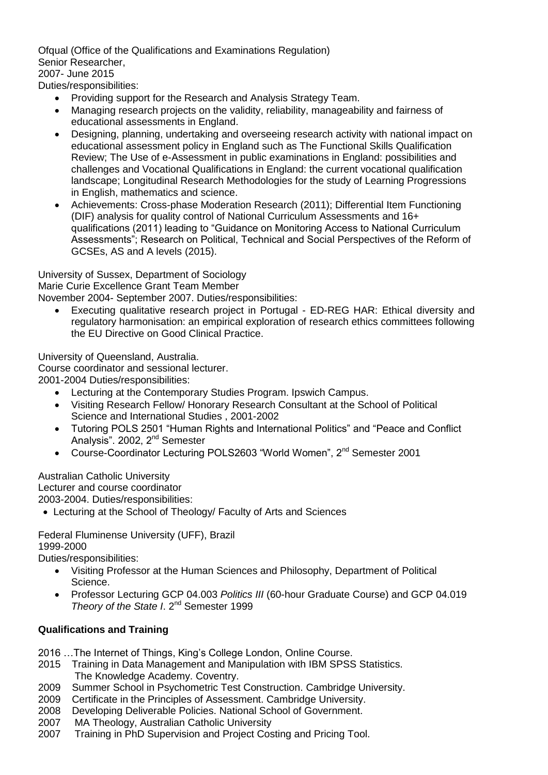Ofqual (Office of the Qualifications and Examinations Regulation) Senior Researcher, 2007- June 2015 Duties/responsibilities:

- Providing support for the Research and Analysis Strategy Team.
- Managing research projects on the validity, reliability, manageability and fairness of educational assessments in England.
- Designing, planning, undertaking and overseeing research activity with national impact on educational assessment policy in England such as The Functional Skills Qualification Review; The Use of e-Assessment in public examinations in England: possibilities and challenges and Vocational Qualifications in England: the current vocational qualification landscape; Longitudinal Research Methodologies for the study of Learning Progressions in English, mathematics and science.
- Achievements: Cross-phase Moderation Research (2011); Differential Item Functioning (DIF) analysis for quality control of National Curriculum Assessments and 16+ qualifications (2011) leading to "Guidance on Monitoring Access to National Curriculum Assessments"; Research on Political, Technical and Social Perspectives of the Reform of GCSEs, AS and A levels (2015).

University of Sussex, Department of Sociology

Marie Curie Excellence Grant Team Member

November 2004- September 2007. Duties/responsibilities:

 Executing qualitative research project in Portugal - ED-REG HAR: Ethical diversity and regulatory harmonisation: an empirical exploration of research ethics committees following the EU Directive on Good Clinical Practice.

University of Queensland, Australia.

Course coordinator and sessional lecturer.

2001-2004 Duties/responsibilities:

- Lecturing at the Contemporary Studies Program. Ipswich Campus.
- Visiting Research Fellow/ Honorary Research Consultant at the School of Political Science and International Studies , 2001-2002
- Tutoring POLS 2501 "Human Rights and International Politics" and "Peace and Conflict Analysis". 2002, 2<sup>nd</sup> Semester
- Course-Coordinator Lecturing POLS2603 "World Women", 2<sup>nd</sup> Semester 2001

Australian Catholic University Lecturer and course coordinator 2003-2004. Duties/responsibilities:

Lecturing at the School of Theology/ Faculty of Arts and Sciences

Federal Fluminense University (UFF), Brazil 1999-2000

Duties/responsibilities:

- Visiting Professor at the Human Sciences and Philosophy, Department of Political Science.
- Professor Lecturing GCP 04.003 *Politics III* (60-hour Graduate Course) and GCP 04.019 Theory of the State I. 2<sup>nd</sup> Semester 1999

# **Qualifications and Training**

- 2016 …The Internet of Things, King's College London, Online Course.
- 2015 Training in Data Management and Manipulation with IBM SPSS Statistics. The Knowledge Academy. Coventry.
- 2009 Summer School in Psychometric Test Construction. Cambridge University.
- 2009 Certificate in the Principles of Assessment. Cambridge University.
- 2008 Developing Deliverable Policies. National School of Government.
- 2007 MA Theology, Australian Catholic University
- 2007 Training in PhD Supervision and Project Costing and Pricing Tool.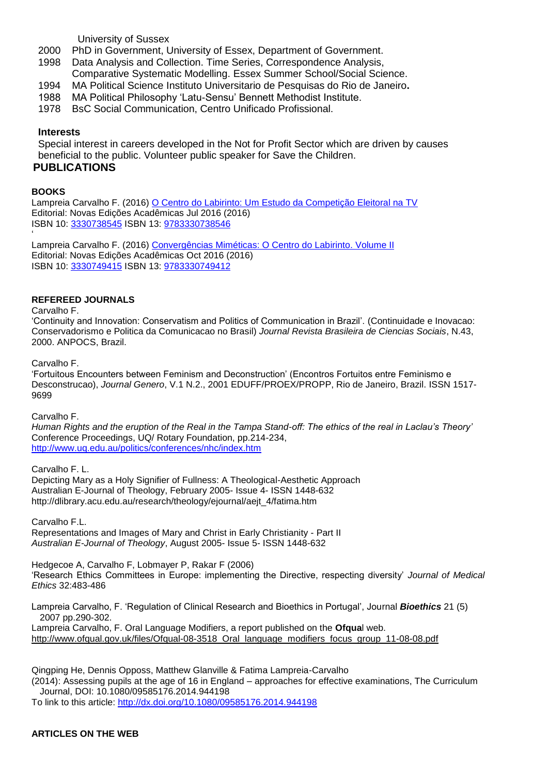University of Sussex

- 2000 PhD in Government, University of Essex, Department of Government.
- 1998 Data Analysis and Collection. Time Series, Correspondence Analysis, Comparative Systematic Modelling. Essex Summer School/Social Science.
- 1994MA Political Science Instituto Universitario de Pesquisas do Rio de Janeiro**.**
- 1988 MA Political Philosophy 'Latu-Sensu' Bennett Methodist Institute.
- 1978 BsC Social Communication, Centro Unificado Profissional.

### **Interests**

Special interest in careers developed in the Not for Profit Sector which are driven by causes beneficial to the public. Volunteer public speaker for Save the Children. **PUBLICATIONS**

#### **BOOKS**

'

Lampreia Carvalho F. (2016) [O Centro do Labirinto: Um Estudo da Competição Eleitoral na TV](https://www.iberlibro.com/servlet/BookDetailsPL?bi=19625827264&searchurl=kn%3Do%2Bcentro%2Bdo%2Blabirinto%26sortby%3D17%26ds%3D30) Editorial: Novas Edições Acadêmicas Jul 2016 (2016) ISBN 10: [3330738545](https://www.iberlibro.com/products/isbn/9783330738546/19625827264) ISBN 13: [9783330738546](https://www.iberlibro.com/products/isbn/9783330738546/19625827264)

Lampreia Carvalho F. (2016) [Convergências Miméticas: O Centro do Labirinto. Volume II](https://www.iberlibro.com/servlet/BookDetailsPL?bi=20546612894&searchurl=kn%3Do%2Bcentro%2Bdo%2Blabirinto%26sortby%3D17%26ds%3D30) Editorial: Novas Edições Acadêmicas Oct 2016 (2016) ISBN 10: [3330749415](https://www.iberlibro.com/products/isbn/9783330749412/20546612894) ISBN 13: [9783330749412](https://www.iberlibro.com/products/isbn/9783330749412/20546612894)

#### **REFEREED JOURNALS**

Carvalho F.

'Continuity and Innovation: Conservatism and Politics of Communication in Brazil'. (Continuidade e Inovacao: Conservadorismo e Politica da Comunicacao no Brasil) *Journal Revista Brasileira de Ciencias Sociais*, N.43, 2000. ANPOCS, Brazil.

Carvalho F.

'Fortuitous Encounters between Feminism and Deconstruction' (Encontros Fortuitos entre Feminismo e Desconstrucao), *Journal Genero*, V.1 N.2., 2001 EDUFF/PROEX/PROPP, Rio de Janeiro, Brazil. ISSN 1517- 9699

Carvalho F.

*Human Rights and the eruption of the Real in the Tampa Stand-off: The ethics of the real in Laclau's Theory'*  Conference Proceedings, UQ/ Rotary Foundation, pp.214-234, <http://www.uq.edu.au/politics/conferences/nhc/index.htm>

Carvalho F. L. Depicting Mary as a Holy Signifier of Fullness: A Theological-Aesthetic Approach Australian E-Journal of Theology, February 2005- Issue 4- ISSN 1448-632 http://dlibrary.acu.edu.au/research/theology/ejournal/aejt\_4/fatima.htm

Carvalho F.L. Representations and Images of Mary and Christ in Early Christianity - Part II *Australian E-Journal of Theology*, August 2005- Issue 5- ISSN 1448-632

Hedgecoe A, Carvalho F, Lobmayer P, Rakar F (2006) 'Research Ethics Committees in Europe: implementing the Directive, respecting diversity' *Journal of Medical Ethics* 32:483-486

Lampreia Carvalho, F. 'Regulation of Clinical Research and Bioethics in Portugal', Journal *Bioethics* 21 (5) 2007 pp.290-302. Lampreia Carvalho, F. Oral Language Modifiers, a report published on the **Ofqua**l web. [http://www.ofqual.gov.uk/files/Ofqual-08-3518\\_Oral\\_language\\_modifiers\\_focus\\_group\\_11-08-08.pdf](http://www.ofqual.gov.uk/files/Ofqual-08-3518_Oral_language_modifiers_focus_group_11-08-08.pdf)

Qingping He, Dennis Opposs, Matthew Glanville & Fatima Lampreia-Carvalho (2014): Assessing pupils at the age of 16 in England – approaches for effective examinations, The Curriculum Journal, DOI: 10.1080/09585176.2014.944198 To link to this article:<http://dx.doi.org/10.1080/09585176.2014.944198>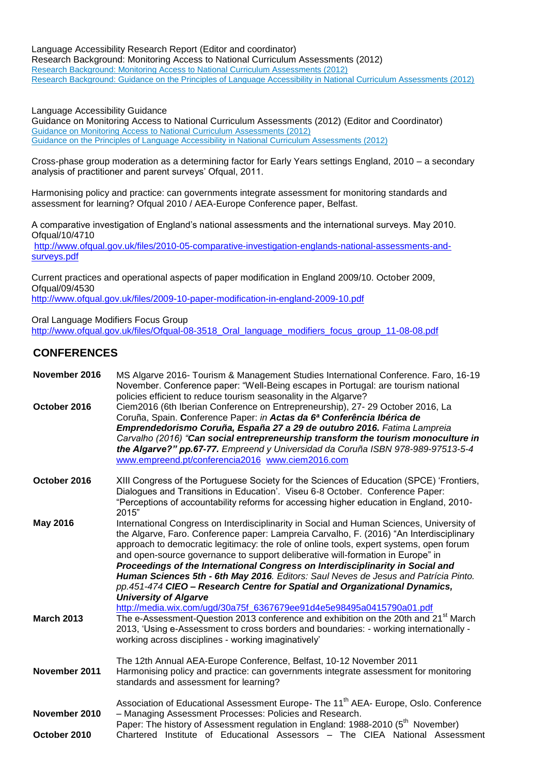Language Accessibility Research Report (Editor and coordinator)

Research Background: Monitoring Access to National Curriculum Assessments (2012) [Research Background: Monitoring Access to National Curriculum Assessments \(2012\)](http://www2.ofqual.gov.uk/files/2012-10-12-research-monitoring-access-to-national-curriculum-assessments.pdf) [Research Background: Guidance on the Principles of Language Accessibility in National Curriculum Assessments \(2012\)](http://www2.ofqual.gov.uk/files/2012-10-12-research-background-on-principles-of-language-accessibility-in-ncas.pdf)

Language Accessibility Guidance

Guidance on Monitoring Access to National Curriculum Assessments (2012) (Editor and Coordinator) [Guidance on Monitoring Access to National Curriculum Assessments \(2012\)](http://www2.ofqual.gov.uk/files/2012-10-12-guidance-monitoring-access-to-national-curriculum-assessments.pdf) [Guidance on the Principles of Language Accessibility in National Curriculum Assessments \(2012\)](http://www2.ofqual.gov.uk/files/2012-10-12-guidance-principles-of-language-accessibility-in-ncas.pdf)

Cross-phase group moderation as a determining factor for Early Years settings England, 2010 – a secondary analysis of practitioner and parent surveys' Ofqual, 2011.

Harmonising policy and practice: can governments integrate assessment for monitoring standards and assessment for learning? Ofqual 2010 / AEA-Europe Conference paper, Belfast.

A comparative investigation of England's national assessments and the international surveys. May 2010. Ofqual/10/4710

[http://www.ofqual.gov.uk/files/2010-05-comparative-investigation-englands-national-assessments-and](http://www.ofqual.gov.uk/files/2010-05-comparative-investigation-englands-national-assessments-and-surveys.pdf)[surveys.pdf](http://www.ofqual.gov.uk/files/2010-05-comparative-investigation-englands-national-assessments-and-surveys.pdf)

Current practices and operational aspects of paper modification in England 2009/10. October 2009, Ofqual/09/4530 <http://www.ofqual.gov.uk/files/2009-10-paper-modification-in-england-2009-10.pdf>

Oral Language Modifiers Focus Group

http://www.ofqual.gov.uk/files/Ofqual-08-3518\_Oral\_language\_modifiers\_focus\_group\_11-08-08.pdf

# **CONFERENCES**

| MS Algarve 2016- Tourism & Management Studies International Conference. Faro, 16-19<br>November. Conference paper: "Well-Being escapes in Portugal: are tourism national<br>policies efficient to reduce tourism seasonality in the Algarve?                                                                                                                                                                                                                                                                                                                                                                                                              |
|-----------------------------------------------------------------------------------------------------------------------------------------------------------------------------------------------------------------------------------------------------------------------------------------------------------------------------------------------------------------------------------------------------------------------------------------------------------------------------------------------------------------------------------------------------------------------------------------------------------------------------------------------------------|
| Ciem2016 (6th Iberian Conference on Entrepreneurship), 27- 29 October 2016, La<br>Coruña, Spain. Conference Paper: in Actas da 6ª Conferência Ibérica de<br>Emprendedorismo Coruña, España 27 a 29 de outubro 2016. Fatima Lampreia<br>Carvalho (2016) "Can social entrepreneurship transform the tourism monoculture in<br>the Algarve?" pp.67-77. Empreend y Universidad da Coruña ISBN 978-989-97513-5-4<br>www.empreend.pt/conferencia2016 www.ciem2016.com                                                                                                                                                                                           |
| XIII Congress of the Portuguese Society for the Sciences of Education (SPCE) 'Frontiers,<br>Dialogues and Transitions in Education'. Viseu 6-8 October. Conference Paper:<br>"Perceptions of accountability reforms for accessing higher education in England, 2010-<br>2015"                                                                                                                                                                                                                                                                                                                                                                             |
| International Congress on Interdisciplinarity in Social and Human Sciences, University of<br>the Algarve, Faro. Conference paper: Lampreia Carvalho, F. (2016) "An Interdisciplinary<br>approach to democratic legitimacy: the role of online tools, expert systems, open forum<br>and open-source governance to support deliberative will-formation in Europe" in<br>Proceedings of the International Congress on Interdisciplinarity in Social and<br>Human Sciences 5th - 6th May 2016. Editors: Saul Neves de Jesus and Patrícia Pinto.<br>pp.451-474 CIEO - Research Centre for Spatial and Organizational Dynamics,<br><b>University of Algarve</b> |
| http://media.wix.com/ugd/30a75f_6367679ee91d4e5e98495a0415790a01.pdf<br>The e-Assessment-Question 2013 conference and exhibition on the 20th and 21 <sup>st</sup> March<br>2013, 'Using e-Assessment to cross borders and boundaries: - working internationally -<br>working across disciplines - working imaginatively'                                                                                                                                                                                                                                                                                                                                  |
| The 12th Annual AEA-Europe Conference, Belfast, 10-12 November 2011<br>Harmonising policy and practice: can governments integrate assessment for monitoring<br>standards and assessment for learning?                                                                                                                                                                                                                                                                                                                                                                                                                                                     |
| Association of Educational Assessment Europe- The 11 <sup>th</sup> AEA- Europe, Oslo. Conference<br>- Managing Assessment Processes: Policies and Research.<br>Paper: The history of Assessment regulation in England: 1988-2010 (5 <sup>th</sup> November)<br>Chartered Institute of Educational Assessors - The CIEA National Assessment                                                                                                                                                                                                                                                                                                                |
|                                                                                                                                                                                                                                                                                                                                                                                                                                                                                                                                                                                                                                                           |